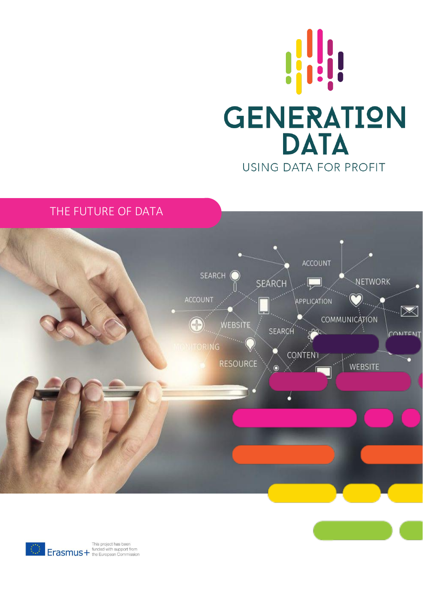

# THE FUTURE OF DATA



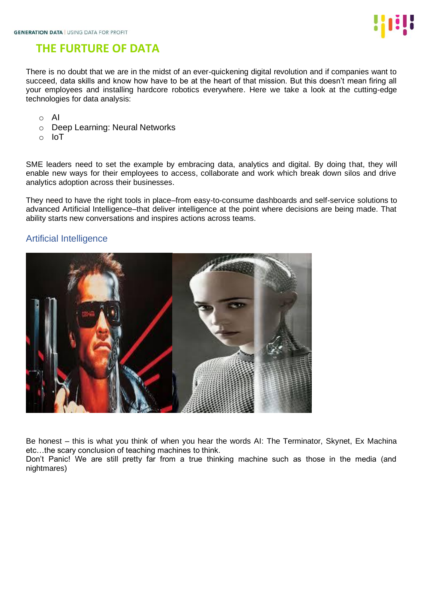

# **THE FURTURE OF DATA**

There is no doubt that we are in the midst of an ever-quickening digital revolution and if companies want to succeed, data skills and know how have to be at the heart of that mission. But this doesn't mean firing all your employees and installing hardcore robotics everywhere. Here we take a look at the cutting-edge technologies for data analysis:

- o AI
- o Deep Learning: Neural Networks
- o IoT

SME leaders need to set the example by embracing data, analytics and digital. By doing that, they will enable new ways for their employees to access, collaborate and work which break down silos and drive analytics adoption across their businesses.

They need to have the right tools in place–from easy-to-consume dashboards and self-service solutions to advanced Artificial Intelligence–that deliver intelligence at the point where decisions are being made. That ability starts new conversations and inspires actions across teams.

### Artificial Intelligence



Be honest – this is what you think of when you hear the words AI: The Terminator, Skynet, Ex Machina etc…the scary conclusion of teaching machines to think.

Don't Panic! We are still pretty far from a true thinking machine such as those in the media (and nightmares)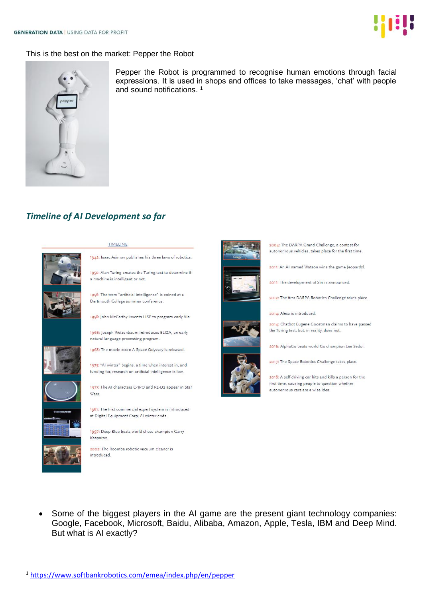

#### This is the best on the market: Pepper the Robot



Pepper the Robot is programmed to recognise human emotions through facial expressions. It is used in shops and offices to take messages, 'chat' with people and sound notifications. 1

### *Timeline of AI Development so far*



#### TIMELINE

1950: Alan Turing creates the Turing test to determine if a machine is intelligent or not.

1956: The term "artificial intelligence" is coined at a Dartmouth College summer conference.

1958: John McCarthy invents LISP to program early Als.

1966: Joseph Weizenbaum introduces ELIZA, an early natural language processing program.

1968: The movie 2001: A Space Odyssey is released.

1973: "Al winter" begins, a time when interest in, and funding for, research on artificial intelligence is low.

1977: The AI characters C-3PO and R2-D2 appear in Star Wars

1981: The first commercial expert system is introduced at Digital Equipment Corp. Al winter ends.

1997: Deep Blue beats world chess champion Garry Kasparov.

2002: The Roomba robotic vacuum cleaner is introduced.



2004: The DARPA Grand Challenge, a contest for autonomous vehicles, takes place for the first time.

2011: An AI named Watson wins the game Jeopardyl.

2011: The development of Siri is announced.

2012: The first DARPA Robotics Challenge takes place.

2014: Alexa is introduced.

2014: Chatbot Eugene Goostman claims to have passed the Turing test, but, in reality, does not.

2016: AlphaGo beats world Go champion Lee Sedol.

2017: The Space Robotics Challenge takes place.

2018: A self-driving car hits and kills a person for the first time, causing people to question whether autonomous cars are a wise idea.

Some of the biggest players in the AI game are the present giant technology companies: Google, Facebook, Microsoft, Baidu, Alibaba, Amazon, Apple, Tesla, IBM and Deep Mind. But what is AI exactly?

<sup>1</sup> <https://www.softbankrobotics.com/emea/index.php/en/pepper>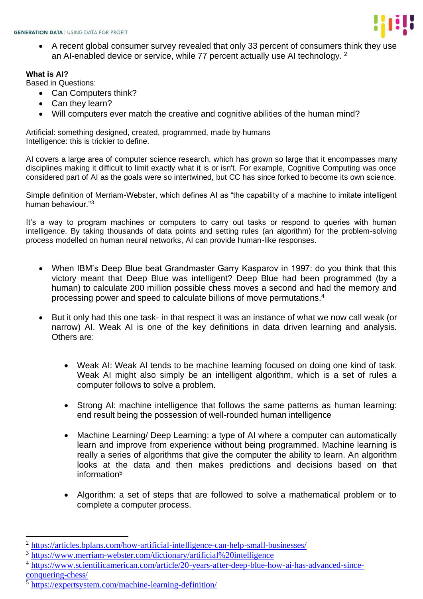

• A recent global consumer survey revealed that only 33 percent of consumers think they use an AI-enabled device or service, while 77 percent actually use AI technology. <sup>2</sup>

#### **What is AI?**

Based in Questions:

- Can Computers think?
- Can they learn?
- Will computers ever match the creative and cognitive abilities of the human mind?

Artificial: something designed, created, programmed, made by humans Intelligence: this is trickier to define.

AI covers a large area of computer science research, which has grown so large that it encompasses many disciplines making it difficult to limit exactly what it is or isn't. For example, Cognitive Computing was once considered part of AI as the goals were so intertwined, but CC has since forked to become its own science.

Simple definition of Merriam-Webster, which defines AI as "the capability of a machine to imitate intelligent human behaviour."<sup>3</sup>

It's a way to program machines or computers to carry out tasks or respond to queries with human intelligence. By taking thousands of data points and setting rules (an algorithm) for the problem-solving process modelled on human neural networks, AI can provide human-like responses.

- When IBM's Deep Blue beat Grandmaster Garry Kasparov in 1997: do you think that this victory meant that Deep Blue was intelligent? Deep Blue had been programmed (by a human) to calculate 200 million possible chess moves a second and had the memory and processing power and speed to calculate billions of move permutations.<sup>4</sup>
- But it only had this one task- in that respect it was an instance of what we now call weak (or narrow) AI. Weak AI is one of the key definitions in data driven learning and analysis. Others are:
	- Weak AI: Weak AI tends to be machine learning focused on doing one kind of task. Weak AI might also simply be an intelligent algorithm, which is a set of rules a computer follows to solve a problem.
	- Strong AI: machine intelligence that follows the same patterns as human learning: end result being the possession of well-rounded human intelligence
	- Machine Learning/ Deep Learning: a type of AI where a computer can automatically learn and improve from experience without being programmed. Machine learning is really a series of algorithms that give the computer the ability to learn. An algorithm looks at the data and then makes predictions and decisions based on that information<sup>5</sup>
	- Algorithm: a set of steps that are followed to solve a mathematical problem or to complete a computer process.

<sup>&</sup>lt;sup>2</sup> <https://articles.bplans.com/how-artificial-intelligence-can-help-small-businesses/>

<sup>&</sup>lt;sup>3</sup> <https://www.merriam-webster.com/dictionary/artificial%20intelligence>

<sup>&</sup>lt;sup>4</sup> [https://www.scientificamerican.com/article/20-years-after-deep-blue-how-ai-has-advanced-since](https://www.scientificamerican.com/article/20-years-after-deep-blue-how-ai-has-advanced-since-conquering-chess/)[conquering-chess/](https://www.scientificamerican.com/article/20-years-after-deep-blue-how-ai-has-advanced-since-conquering-chess/)

<sup>&</sup>lt;sup>5</sup> <https://expertsystem.com/machine-learning-definition/>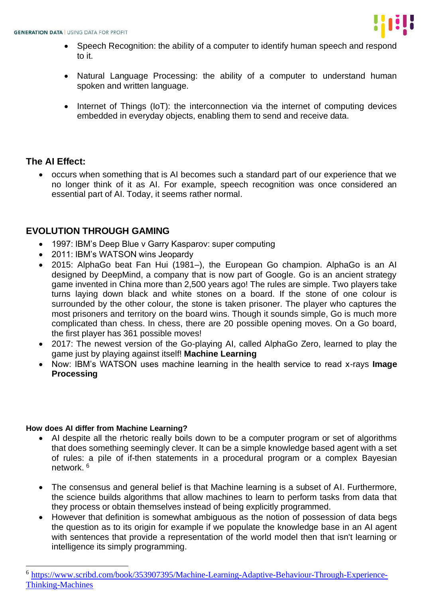

- Speech Recognition: the ability of a computer to identify human speech and respond to it.
- Natural Language Processing: the ability of a computer to understand human spoken and written language.
- Internet of Things (IoT): the interconnection via the internet of computing devices embedded in everyday objects, enabling them to send and receive data.

### **The AI Effect:**

• occurs when something that is AI becomes such a standard part of our experience that we no longer think of it as AI. For example, speech recognition was once considered an essential part of AI. Today, it seems rather normal.

## **EVOLUTION THROUGH GAMING**

- 1997: IBM's Deep Blue v Garry Kasparov: super computing
- 2011: IBM's WATSON wins Jeopardy
- 2015: AlphaGo beat Fan Hui (1981–), the European Go champion. AlphaGo is an AI designed by DeepMind, a company that is now part of Google. Go is an ancient strategy game invented in China more than 2,500 years ago! The rules are simple. Two players take turns laying down black and white stones on a board. If the stone of one colour is surrounded by the other colour, the stone is taken prisoner. The player who captures the most prisoners and territory on the board wins. Though it sounds simple, Go is much more complicated than chess. In chess, there are 20 possible opening moves. On a Go board, the first player has 361 possible moves!
- 2017: The newest version of the Go-playing AI, called AlphaGo Zero, learned to play the game just by playing against itself! **Machine Learning**
- Now: IBM's WATSON uses machine learning in the health service to read x-rays **Image Processing**

#### **How does AI differ from Machine Learning?**

- AI despite all the rhetoric really boils down to be a computer program or set of algorithms that does something seemingly clever. It can be a simple knowledge based agent with a set of rules: a pile of if-then statements in a procedural program or a complex Bayesian network. <sup>6</sup>
- The consensus and general belief is that Machine learning is a subset of AI. Furthermore, the science builds algorithms that allow machines to learn to perform tasks from data that they process or obtain themselves instead of being explicitly programmed.
- However that definition is somewhat ambiguous as the notion of possession of data begs the question as to its origin for example if we populate the knowledge base in an AI agent with sentences that provide a representation of the world model then that isn't learning or intelligence its simply programming.

<sup>6</sup> [https://www.scribd.com/book/353907395/Machine-Learning-Adaptive-Behaviour-Through-Experience-](https://www.scribd.com/book/353907395/Machine-Learning-Adaptive-Behaviour-Through-Experience-Thinking-Machines)[Thinking-Machines](https://www.scribd.com/book/353907395/Machine-Learning-Adaptive-Behaviour-Through-Experience-Thinking-Machines)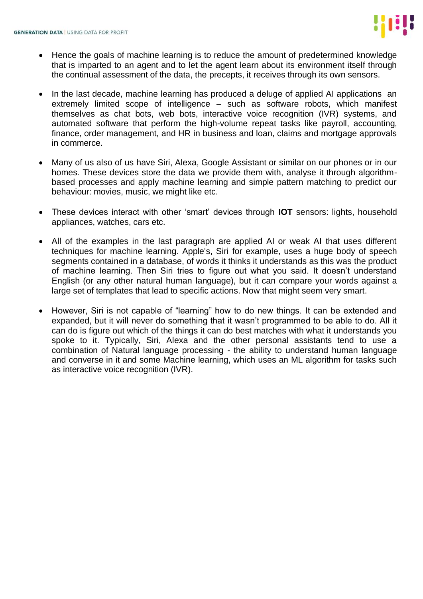- Hence the goals of machine learning is to reduce the amount of predetermined knowledge that is imparted to an agent and to let the agent learn about its environment itself through the continual assessment of the data, the precepts, it receives through its own sensors.
- In the last decade, machine learning has produced a deluge of applied AI applications an extremely limited scope of intelligence – such as software robots, which manifest themselves as chat bots, web bots, interactive voice recognition (IVR) systems, and automated software that perform the high-volume repeat tasks like payroll, accounting, finance, order management, and HR in business and loan, claims and mortgage approvals in commerce.
- Many of us also of us have Siri, Alexa, Google Assistant or similar on our phones or in our homes. These devices store the data we provide them with, analyse it through algorithmbased processes and apply machine learning and simple pattern matching to predict our behaviour: movies, music, we might like etc.
- These devices interact with other 'smart' devices through **IOT** sensors: lights, household appliances, watches, cars etc.
- All of the examples in the last paragraph are applied AI or weak AI that uses different techniques for machine learning. Apple's, Siri for example, uses a huge body of speech segments contained in a database, of words it thinks it understands as this was the product of machine learning. Then Siri tries to figure out what you said. It doesn't understand English (or any other natural human language), but it can compare your words against a large set of templates that lead to specific actions. Now that might seem very smart.
- However, Siri is not capable of "learning" how to do new things. It can be extended and expanded, but it will never do something that it wasn't programmed to be able to do. All it can do is figure out which of the things it can do best matches with what it understands you spoke to it. Typically, Siri, Alexa and the other personal assistants tend to use a combination of Natural language processing - the ability to understand human language and converse in it and some Machine learning, which uses an ML algorithm for tasks such as interactive voice recognition (IVR).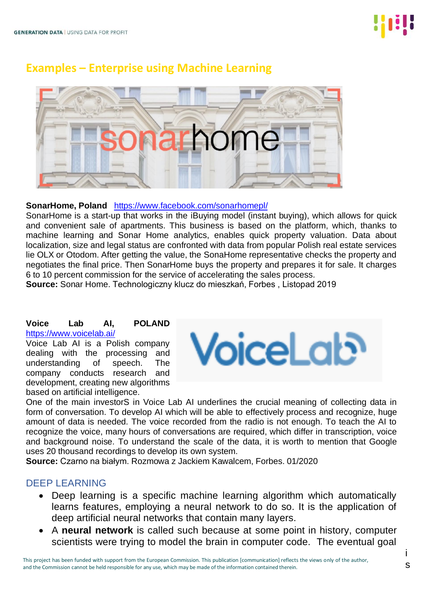# **Examples – Enterprise using Machine Learning**



#### **SonarHome, Poland** <https://www.facebook.com/sonarhomepl/>

SonarHome is a start-up that works in the iBuying model (instant buying), which allows for quick and convenient sale of apartments. This business is based on the platform, which, thanks to machine learning and Sonar Home analytics, enables quick property valuation. Data about localization, size and legal status are confronted with data from popular Polish real estate services lie OLX or Otodom. After getting the value, the SonaHome representative checks the property and negotiates the final price. Then SonarHome buys the property and prepares it for sale. It charges 6 to 10 percent commission for the service of accelerating the sales process.

**Source:** Sonar Home. Technologiczny klucz do mieszkań, Forbes , Listopad 2019

## **Voice Lab AI, POLAND**

<https://www.voicelab.ai/>

Voice Lab AI is a Polish company dealing with the processing and understanding of speech. The company conducts research and development, creating new algorithms based on artificial intelligence.



One of the main investorS in Voice Lab AI underlines the crucial meaning of collecting data in form of conversation. To develop AI which will be able to effectively process and recognize, huge amount of data is needed. The voice recorded from the radio is not enough. To teach the AI to recognize the voice, many hours of conversations are required, which differ in transcription, voice and background noise. To understand the scale of the data, it is worth to mention that Google uses 20 thousand recordings to develop its own system.

**Source:** Czarno na białym. Rozmowa z Jackiem Kawalcem, Forbes. 01/2020

### DEEP LEARNING

- Deep learning is a specific machine learning algorithm which automatically learns features, employing a neural network to do so. It is the application of deep artificial neural networks that contain many layers.
- A **neural network** is called such because at some point in history, computer scientists were trying to model the brain in computer code. The eventual goal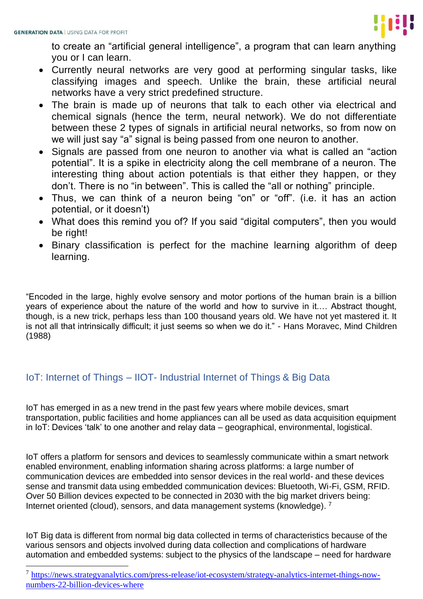

to create an "artificial general intelligence", a program that can learn anything you or I can learn.

- Currently neural networks are very good at performing singular tasks, like classifying images and speech. Unlike the brain, these artificial neural networks have a very strict predefined structure.
- The brain is made up of neurons that talk to each other via electrical and chemical signals (hence the term, neural network). We do not differentiate between these 2 types of signals in artificial neural networks, so from now on we will just say "a" signal is being passed from one neuron to another.
- Signals are passed from one neuron to another via what is called an "action potential". It is a spike in electricity along the cell membrane of a neuron. The interesting thing about action potentials is that either they happen, or they don't. There is no "in between". This is called the "all or nothing" principle.
- Thus, we can think of a neuron being "on" or "off". (i.e. it has an action potential, or it doesn't)
- What does this remind you of? If you said "digital computers", then you would be right!
- Binary classification is perfect for the machine learning algorithm of deep learning.

"Encoded in the large, highly evolve sensory and motor portions of the human brain is a billion years of experience about the nature of the world and how to survive in it.… Abstract thought, though, is a new trick, perhaps less than 100 thousand years old. We have not yet mastered it. It is not all that intrinsically difficult; it just seems so when we do it." - Hans Moravec, Mind Children (1988)

# IoT: Internet of Things – IIOT- Industrial Internet of Things & Big Data

IoT has emerged in as a new trend in the past few years where mobile devices, smart transportation, public facilities and home appliances can all be used as data acquisition equipment in IoT: Devices 'talk' to one another and relay data – geographical, environmental, logistical.

IoT offers a platform for sensors and devices to seamlessly communicate within a smart network enabled environment, enabling information sharing across platforms: a large number of communication devices are embedded into sensor devices in the real world- and these devices sense and transmit data using embedded communication devices: Bluetooth, Wi-Fi, GSM, RFID. Over 50 Billion devices expected to be connected in 2030 with the big market drivers being: Internet oriented (cloud), sensors, and data management systems (knowledge).<sup>7</sup>

IoT Big data is different from normal big data collected in terms of characteristics because of the various sensors and objects involved during data collection and complications of hardware automation and embedded systems: subject to the physics of the landscape – need for hardware

<sup>&</sup>lt;sup>7</sup> [https://news.strategyanalytics.com/press-release/iot-ecosystem/strategy-analytics-internet-things-now](https://news.strategyanalytics.com/press-release/iot-ecosystem/strategy-analytics-internet-things-now-numbers-22-billion-devices-where)[numbers-22-billion-devices-where](https://news.strategyanalytics.com/press-release/iot-ecosystem/strategy-analytics-internet-things-now-numbers-22-billion-devices-where)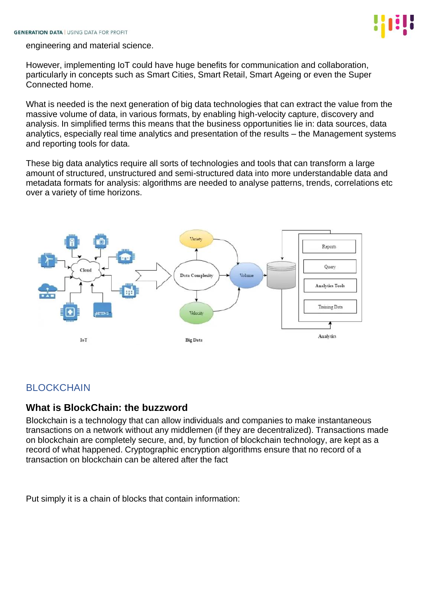

engineering and material science.

However, implementing IoT could have huge benefits for communication and collaboration, particularly in concepts such as Smart Cities, Smart Retail, Smart Ageing or even the Super Connected home.

What is needed is the next generation of big data technologies that can extract the value from the massive volume of data, in various formats, by enabling high-velocity capture, discovery and analysis. In simplified terms this means that the business opportunities lie in: data sources, data analytics, especially real time analytics and presentation of the results – the Management systems and reporting tools for data.

These big data analytics require all sorts of technologies and tools that can transform a large amount of structured, unstructured and semi-structured data into more understandable data and metadata formats for analysis: algorithms are needed to analyse patterns, trends, correlations etc over a variety of time horizons.



# BLOCKCHAIN

### **What is BlockChain: the buzzword**

Blockchain is a technology that can allow individuals and companies to make instantaneous transactions on a network without any middlemen (if they are decentralized). Transactions made on blockchain are completely secure, and, by function of blockchain technology, are kept as a record of what happened. Cryptographic encryption algorithms ensure that no record of a transaction on blockchain can be altered after the fact

Put simply it is a chain of blocks that contain information: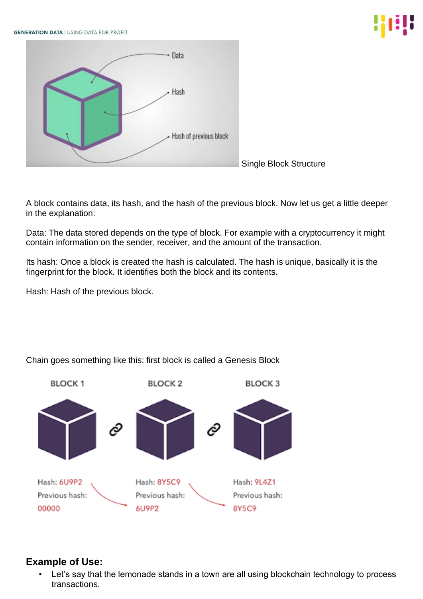**GENERATION DATA | USING DATA FOR PROFIT** 







A block contains data, its hash, and the hash of the previous block. Now let us get a little deeper in the explanation:

Data: The data stored depends on the type of block. For example with a cryptocurrency it might contain information on the sender, receiver, and the amount of the transaction.

Its hash: Once a block is created the hash is calculated. The hash is unique, basically it is the fingerprint for the block. It identifies both the block and its contents.

Hash: Hash of the previous block.



Chain goes something like this: first block is called a Genesis Block

# **Example of Use:**

Let's say that the lemonade stands in a town are all using blockchain technology to process transactions.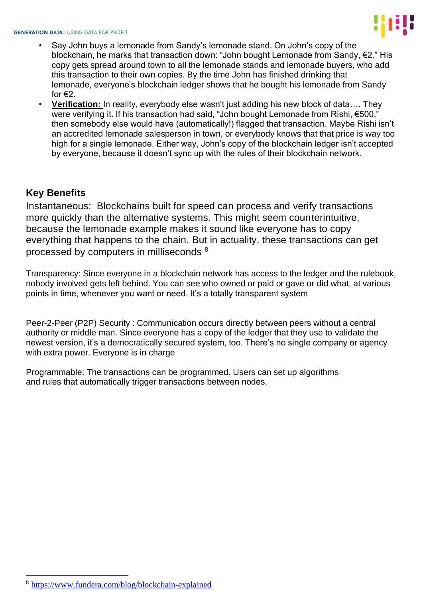

- Say John buys a lemonade from Sandy's lemonade stand. On John's copy of the blockchain, he marks that transaction down: "John bought Lemonade from Sandy, €2." His copy gets spread around town to all the lemonade stands and lemonade buyers, who add this transaction to their own copies. By the time John has finished drinking that lemonade, everyone's blockchain ledger shows that he bought his lemonade from Sandy for  $E$ .
- **Verification:** In reality, everybody else wasn't just adding his new block of data…. They were verifying it. If his transaction had said, "John bought Lemonade from Rishi, €500," then somebody else would have (automatically!) flagged that transaction. Maybe Rishi isn't an accredited lemonade salesperson in town, or everybody knows that that price is way too high for a single lemonade. Either way, John's copy of the blockchain ledger isn't accepted by everyone, because it doesn't sync up with the rules of their blockchain network.

## **Key Benefits**

Instantaneous: Blockchains built for speed can process and verify transactions more quickly than the alternative systems. This might seem counterintuitive, because the lemonade example makes it sound like everyone has to copy everything that happens to the chain. But in actuality, these transactions can get processed by computers in milliseconds <sup>8</sup>

Transparency: Since everyone in a blockchain network has access to the ledger and the rulebook, nobody involved gets left behind. You can see who owned or paid or gave or did what, at various points in time, whenever you want or need. It's a totally transparent system

Peer-2-Peer (P2P) Security : Communication occurs directly between peers without a central authority or middle man. Since everyone has a copy of the ledger that they use to validate the newest version, it's a democratically secured system, too. There's no single company or agency with extra power. Everyone is in charge

Programmable: The transactions can be programmed. Users can set up algorithms and rules that automatically trigger transactions between nodes.

<sup>8</sup> <https://www.fundera.com/blog/blockchain-explained>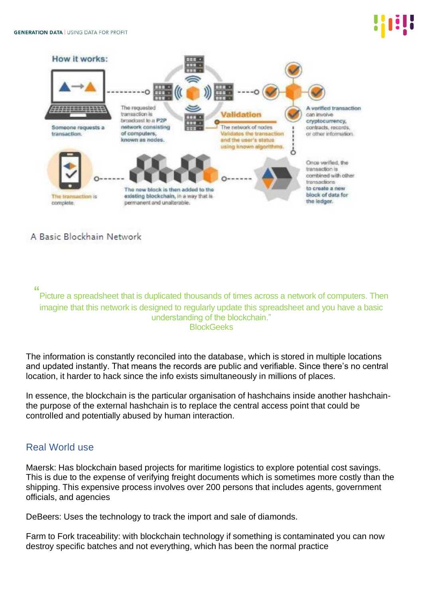

A Basic Blockhain Network

"

Picture a spreadsheet that is duplicated thousands of times across a network of computers. Then imagine that this network is designed to regularly update this spreadsheet and you have a basic understanding of the blockchain." **BlockGeeks** 

The information is constantly reconciled into the database, which is stored in multiple locations and updated instantly. That means the records are public and verifiable. Since there's no central location, it harder to hack since the info exists simultaneously in millions of places.

In essence, the blockchain is the particular organisation of hashchains inside another hashchainthe purpose of the external hashchain is to replace the central access point that could be controlled and potentially abused by human interaction.

## Real World use

Maersk: Has blockchain based projects for maritime logistics to explore potential cost savings. This is due to the expense of verifying freight documents which is sometimes more costly than the shipping. This expensive process involves over 200 persons that includes agents, government officials, and agencies

DeBeers: Uses the technology to track the import and sale of diamonds.

Farm to Fork traceability: with blockchain technology if something is contaminated you can now destroy specific batches and not everything, which has been the normal practice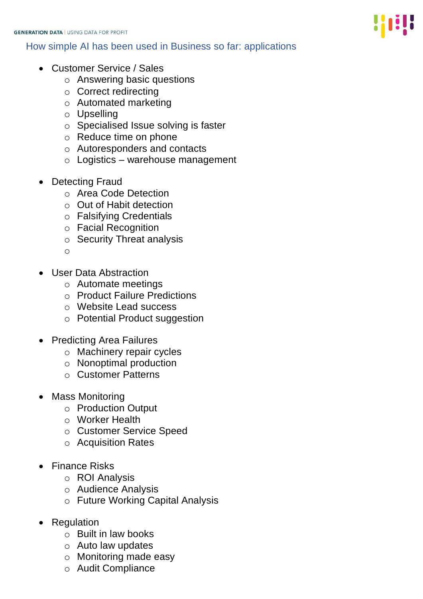## How simple AI has been used in Business so far: applications

- Customer Service / Sales
	- o Answering basic questions
	- o Correct redirecting
	- o Automated marketing
	- o Upselling
	- o Specialised Issue solving is faster
	- o Reduce time on phone
	- o Autoresponders and contacts
	- $\circ$  Logistics warehouse management
- Detecting Fraud
	- o Area Code Detection
	- o Out of Habit detection
	- o Falsifying Credentials
	- o Facial Recognition
	- o Security Threat analysis
	- o
- User Data Abstraction
	- o Automate meetings
	- o Product Failure Predictions
	- o Website Lead success
	- o Potential Product suggestion
- Predicting Area Failures
	- o Machinery repair cycles
	- o Nonoptimal production
	- o Customer Patterns
- Mass Monitoring
	- o Production Output
	- o Worker Health
	- o Customer Service Speed
	- o Acquisition Rates
- Finance Risks
	- o ROI Analysis
	- o Audience Analysis
	- o Future Working Capital Analysis
- Regulation
	- o Built in law books
	- o Auto law updates
	- o Monitoring made easy
	- o Audit Compliance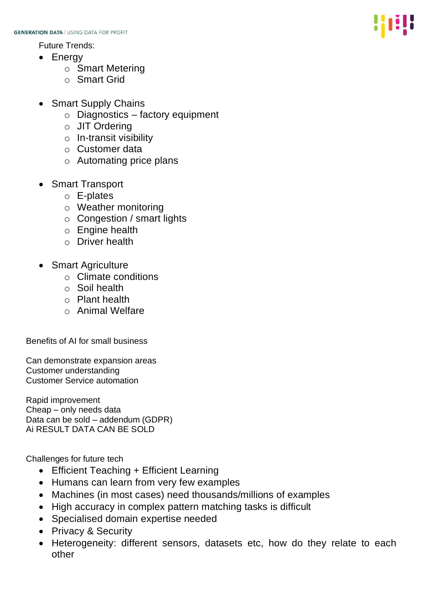Future Trends:

- Energy
	- o Smart Metering
	- o Smart Grid
- Smart Supply Chains
	- o Diagnostics factory equipment
	- o JIT Ordering
	- o In-transit visibility
	- o Customer data
	- o Automating price plans
- Smart Transport
	- o E-plates
	- o Weather monitoring
	- o Congestion / smart lights
	- o Engine health
	- o Driver health
- Smart Agriculture
	- o Climate conditions
	- o Soil health
	- o Plant health
	- o Animal Welfare

Benefits of AI for small business

Can demonstrate expansion areas Customer understanding Customer Service automation

Rapid improvement Cheap – only needs data Data can be sold – addendum (GDPR) Ai RESULT DATA CAN BE SOLD

Challenges for future tech

- Efficient Teaching + Efficient Learning
- Humans can learn from very few examples
- Machines (in most cases) need thousands/millions of examples
- High accuracy in complex pattern matching tasks is difficult
- Specialised domain expertise needed
- Privacy & Security
- Heterogeneity: different sensors, datasets etc, how do they relate to each other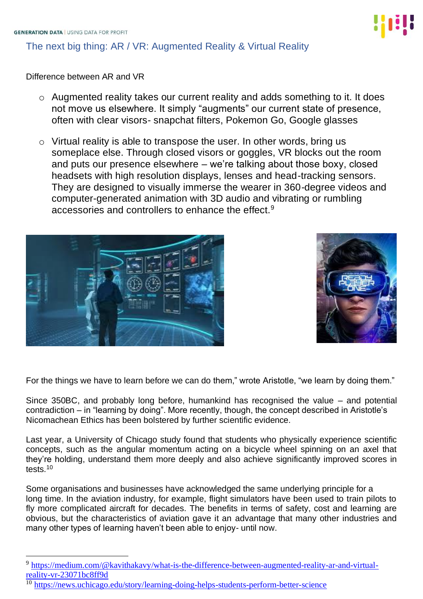# The next big thing: AR / VR: Augmented Reality & Virtual Reality

Difference between AR and VR

- o Augmented reality takes our current reality and adds something to it. It does not move us elsewhere. It simply "augments" our current state of presence, often with clear visors- snapchat filters, Pokemon Go, Google glasses
- o Virtual reality is able to transpose the user. In other words, bring us someplace else. Through closed visors or goggles, VR blocks out the room and puts our presence elsewhere – we're talking about those boxy, closed headsets with high resolution displays, lenses and head-tracking sensors. They are designed to visually immerse the wearer in 360-degree videos and computer-generated animation with 3D audio and vibrating or rumbling accessories and controllers to enhance the effect.<sup>9</sup>





For the things we have to learn before we can do them," wrote Aristotle, "we learn by doing them."

Since 350BC, and probably long before, humankind has recognised the value – and potential contradiction – in "learning by doing". More recently, though, the concept described in Aristotle's Nicomachean Ethics has been bolstered by further scientific evidence.

Last year, a University of Chicago study found that students who physically experience scientific concepts, such as the angular momentum acting on a bicycle wheel spinning on an axel that they're holding, understand them more deeply and also achieve significantly improved scores in tests.<sup>10</sup>

Some organisations and businesses have acknowledged the same underlying principle for a long time. In the aviation industry, for example, flight simulators have been used to train pilots to fly more complicated aircraft for decades. The benefits in terms of safety, cost and learning are obvious, but the characteristics of aviation gave it an advantage that many other industries and many other types of learning haven't been able to enjoy- until now.



<sup>&</sup>lt;sup>9</sup> [https://medium.com/@kavithakavy/what-is-the-difference-between-augmented-reality-ar-and-virtual](https://medium.com/@kavithakavy/what-is-the-difference-between-augmented-reality-ar-and-virtual-reality-vr-23071bc8ff9d)[reality-vr-23071bc8ff9d](https://medium.com/@kavithakavy/what-is-the-difference-between-augmented-reality-ar-and-virtual-reality-vr-23071bc8ff9d)

<sup>&</sup>lt;sup>10</sup> <https://news.uchicago.edu/story/learning-doing-helps-students-perform-better-science>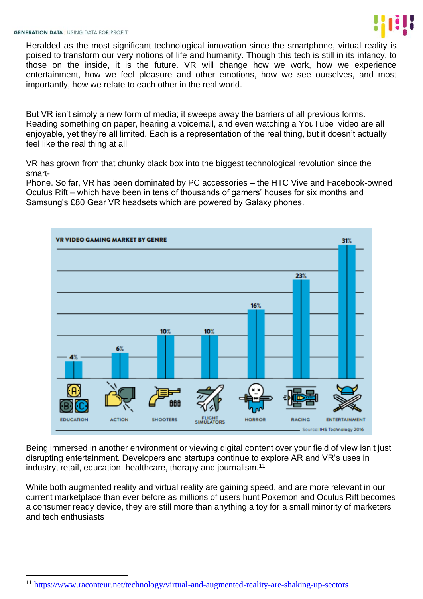Heralded as the most significant technological innovation since the smartphone, virtual reality is poised to transform our very notions of life and humanity. Though this tech is still in its infancy, to those on the inside, it is the future. VR will change how we work, how we experience entertainment, how we feel pleasure and other emotions, how we see ourselves, and most importantly, how we relate to each other in the real world.

But VR isn't simply a new form of media; it sweeps away the barriers of all previous forms. Reading something on paper, hearing a voicemail, and even watching a YouTube video are all enjoyable, yet they're all limited. Each is a representation of the real thing, but it doesn't actually feel like the real thing at all

VR has grown from that chunky black box into the biggest technological revolution since the smart-

Phone. So far, VR has been dominated by PC accessories – the HTC Vive and Facebook-owned Oculus Rift – which have been in tens of thousands of gamers' houses for six months and Samsung's £80 Gear VR headsets which are powered by Galaxy phones.



Being immersed in another environment or viewing digital content over your field of view isn't just disrupting entertainment. Developers and startups continue to explore AR and VR's uses in industry, retail, education, healthcare, therapy and journalism.<sup>11</sup>

While both augmented reality and virtual reality are gaining speed, and are more relevant in our current marketplace than ever before as millions of users hunt Pokemon and Oculus Rift becomes a consumer ready device, they are still more than anything a toy for a small minority of marketers and tech enthusiasts

<sup>&</sup>lt;sup>11</sup> <https://www.raconteur.net/technology/virtual-and-augmented-reality-are-shaking-up-sectors>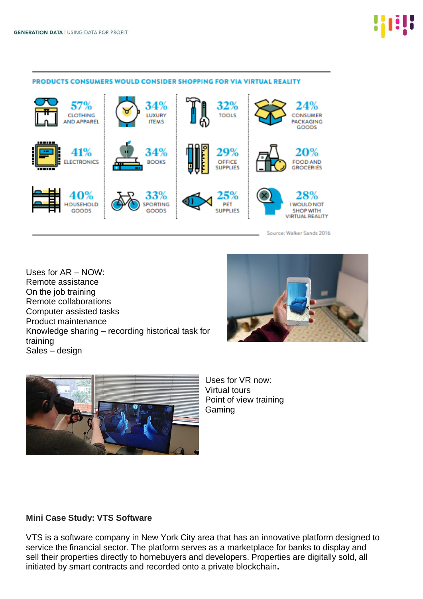

#### PRODUCTS CONSUMERS WOULD CONSIDER SHOPPING FOR VIA VIRTUAL REALITY

Source: Walker Sands 2016

Uses for AR – NOW: Remote assistance On the job training Remote collaborations Computer assisted tasks Product maintenance Knowledge sharing – recording historical task for training Sales – design





Uses for VR now: Virtual tours Point of view training Gaming

#### **Mini Case Study: VTS Software**

VTS is a software company in New York City area that has an innovative platform designed to service the financial sector. The platform serves as a marketplace for banks to display and sell their properties directly to homebuyers and developers. Properties are digitally sold, all initiated by smart contracts and recorded onto a private blockchain**.**